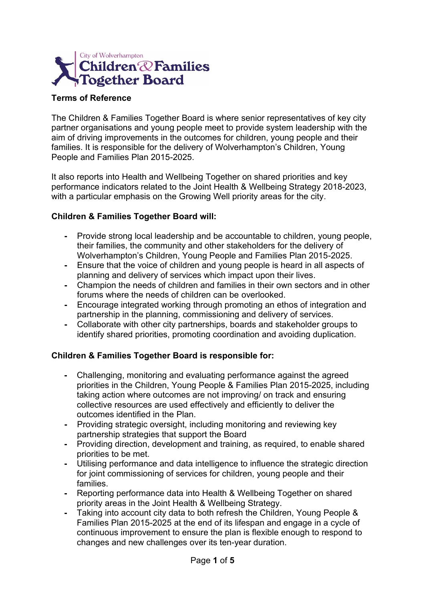

#### **Terms of Reference**

The Children & Families Together Board is where senior representatives of key city partner organisations and young people meet to provide system leadership with the aim of driving improvements in the outcomes for children, young people and their families. It is responsible for the delivery of Wolverhampton's Children, Young People and Families Plan 2015-2025.

It also reports into Health and Wellbeing Together on shared priorities and key performance indicators related to the Joint Health & Wellbeing Strategy 2018-2023, with a particular emphasis on the Growing Well priority areas for the city.

#### **Children & Families Together Board will:**

- **-** Provide strong local leadership and be accountable to children, young people, their families, the community and other stakeholders for the delivery of Wolverhampton's Children, Young People and Families Plan 2015-2025.
- **-** Ensure that the voice of children and young people is heard in all aspects of planning and delivery of services which impact upon their lives.
- **-** Champion the needs of children and families in their own sectors and in other forums where the needs of children can be overlooked.
- **-** Encourage integrated working through promoting an ethos of integration and partnership in the planning, commissioning and delivery of services.
- **-** Collaborate with other city partnerships, boards and stakeholder groups to identify shared priorities, promoting coordination and avoiding duplication.

#### **Children & Families Together Board is responsible for:**

- **-** Challenging, monitoring and evaluating performance against the agreed priorities in the Children, Young People & Families Plan 2015-2025, including taking action where outcomes are not improving/ on track and ensuring collective resources are used effectively and efficiently to deliver the outcomes identified in the Plan.
- **-** Providing strategic oversight, including monitoring and reviewing key partnership strategies that support the Board
- **-** Providing direction, development and training, as required, to enable shared priorities to be met.
- **-** Utilising performance and data intelligence to influence the strategic direction for joint commissioning of services for children, young people and their families.
- **-** Reporting performance data into Health & Wellbeing Together on shared priority areas in the Joint Health & Wellbeing Strategy.
- **-** Taking into account city data to both refresh the Children, Young People & Families Plan 2015-2025 at the end of its lifespan and engage in a cycle of continuous improvement to ensure the plan is flexible enough to respond to changes and new challenges over its ten-year duration.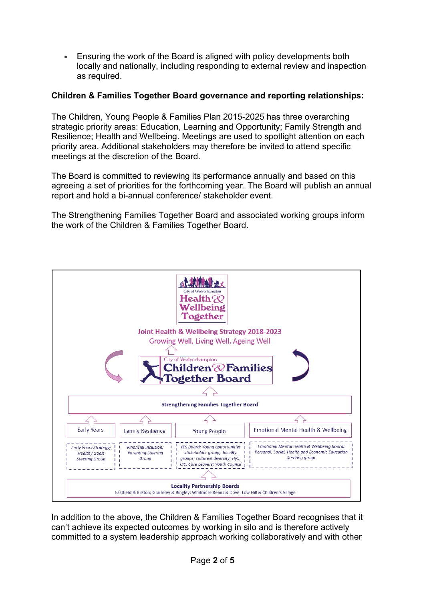**-** Ensuring the work of the Board is aligned with policy developments both locally and nationally, including responding to external review and inspection as required.

### **Children & Families Together Board governance and reporting relationships:**

The Children, Young People & Families Plan 2015-2025 has three overarching strategic priority areas: Education, Learning and Opportunity; Family Strength and Resilience; Health and Wellbeing. Meetings are used to spotlight attention on each priority area. Additional stakeholders may therefore be invited to attend specific meetings at the discretion of the Board.

The Board is committed to reviewing its performance annually and based on this agreeing a set of priorities for the forthcoming year. The Board will publish an annual report and hold a bi-annual conference/ stakeholder event.

The Strengthening Families Together Board and associated working groups inform the work of the Children & Families Together Board.



In addition to the above, the Children & Families Together Board recognises that it can't achieve its expected outcomes by working in silo and is therefore actively committed to a system leadership approach working collaboratively and with other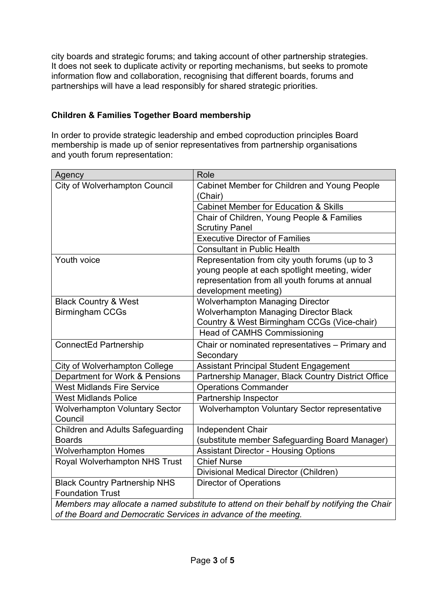city boards and strategic forums; and taking account of other partnership strategies. It does not seek to duplicate activity or reporting mechanisms, but seeks to promote information flow and collaboration, recognising that different boards, forums and partnerships will have a lead responsibly for shared strategic priorities.

## **Children & Families Together Board membership**

In order to provide strategic leadership and embed coproduction principles Board membership is made up of senior representatives from partnership organisations and youth forum representation:

| Agency                                                                                   | Role                                                                                                                                                                      |
|------------------------------------------------------------------------------------------|---------------------------------------------------------------------------------------------------------------------------------------------------------------------------|
| <b>City of Wolverhampton Council</b>                                                     | <b>Cabinet Member for Children and Young People</b><br>(Chair)                                                                                                            |
|                                                                                          | <b>Cabinet Member for Education &amp; Skills</b>                                                                                                                          |
|                                                                                          | Chair of Children, Young People & Families                                                                                                                                |
|                                                                                          | <b>Scrutiny Panel</b>                                                                                                                                                     |
|                                                                                          | <b>Executive Director of Families</b>                                                                                                                                     |
|                                                                                          | <b>Consultant in Public Health</b>                                                                                                                                        |
| Youth voice                                                                              | Representation from city youth forums (up to 3<br>young people at each spotlight meeting, wider<br>representation from all youth forums at annual<br>development meeting) |
| <b>Black Country &amp; West</b>                                                          | <b>Wolverhampton Managing Director</b>                                                                                                                                    |
| <b>Birmingham CCGs</b>                                                                   | <b>Wolverhampton Managing Director Black</b>                                                                                                                              |
|                                                                                          | Country & West Birmingham CCGs (Vice-chair)                                                                                                                               |
|                                                                                          | <b>Head of CAMHS Commissioning</b>                                                                                                                                        |
| <b>ConnectEd Partnership</b>                                                             | Chair or nominated representatives - Primary and<br>Secondary                                                                                                             |
| <b>City of Wolverhampton College</b>                                                     | <b>Assistant Principal Student Engagement</b>                                                                                                                             |
| Department for Work & Pensions                                                           | Partnership Manager, Black Country District Office                                                                                                                        |
| <b>West Midlands Fire Service</b>                                                        | <b>Operations Commander</b>                                                                                                                                               |
| <b>West Midlands Police</b>                                                              | Partnership Inspector                                                                                                                                                     |
| <b>Wolverhampton Voluntary Sector</b><br>Council                                         | Wolverhampton Voluntary Sector representative                                                                                                                             |
| <b>Children and Adults Safeguarding</b>                                                  | <b>Independent Chair</b>                                                                                                                                                  |
| <b>Boards</b>                                                                            | (substitute member Safeguarding Board Manager)                                                                                                                            |
| <b>Wolverhampton Homes</b>                                                               | <b>Assistant Director - Housing Options</b>                                                                                                                               |
| <b>Royal Wolverhampton NHS Trust</b>                                                     | <b>Chief Nurse</b>                                                                                                                                                        |
|                                                                                          | Divisional Medical Director (Children)                                                                                                                                    |
| <b>Black Country Partnership NHS</b>                                                     | <b>Director of Operations</b>                                                                                                                                             |
| <b>Foundation Trust</b>                                                                  |                                                                                                                                                                           |
| Members may allocate a named substitute to attend on their behalf by notifying the Chair |                                                                                                                                                                           |
| of the Board and Democratic Services in advance of the meeting.                          |                                                                                                                                                                           |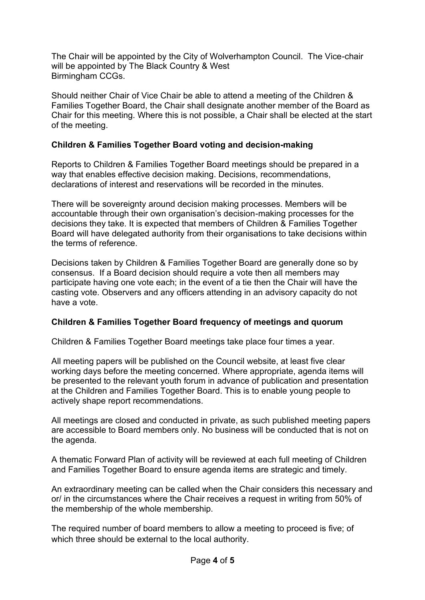The Chair will be appointed by the City of Wolverhampton Council. The Vice-chair will be appointed by The Black Country & West Birmingham CCGs.

Should neither Chair of Vice Chair be able to attend a meeting of the Children & Families Together Board, the Chair shall designate another member of the Board as Chair for this meeting. Where this is not possible, a Chair shall be elected at the start of the meeting.

### **Children & Families Together Board voting and decision-making**

Reports to Children & Families Together Board meetings should be prepared in a way that enables effective decision making. Decisions, recommendations, declarations of interest and reservations will be recorded in the minutes.

There will be sovereignty around decision making processes. Members will be accountable through their own organisation's decision-making processes for the decisions they take. It is expected that members of Children & Families Together Board will have delegated authority from their organisations to take decisions within the terms of reference.

Decisions taken by Children & Families Together Board are generally done so by consensus. If a Board decision should require a vote then all members may participate having one vote each; in the event of a tie then the Chair will have the casting vote. Observers and any officers attending in an advisory capacity do not have a vote.

## **Children & Families Together Board frequency of meetings and quorum**

Children & Families Together Board meetings take place four times a year.

All meeting papers will be published on the Council website, at least five clear working days before the meeting concerned. Where appropriate, agenda items will be presented to the relevant youth forum in advance of publication and presentation at the Children and Families Together Board. This is to enable young people to actively shape report recommendations.

All meetings are closed and conducted in private, as such published meeting papers are accessible to Board members only. No business will be conducted that is not on the agenda.

A thematic Forward Plan of activity will be reviewed at each full meeting of Children and Families Together Board to ensure agenda items are strategic and timely.

An extraordinary meeting can be called when the Chair considers this necessary and or/ in the circumstances where the Chair receives a request in writing from 50% of the membership of the whole membership.

The required number of board members to allow a meeting to proceed is five; of which three should be external to the local authority.